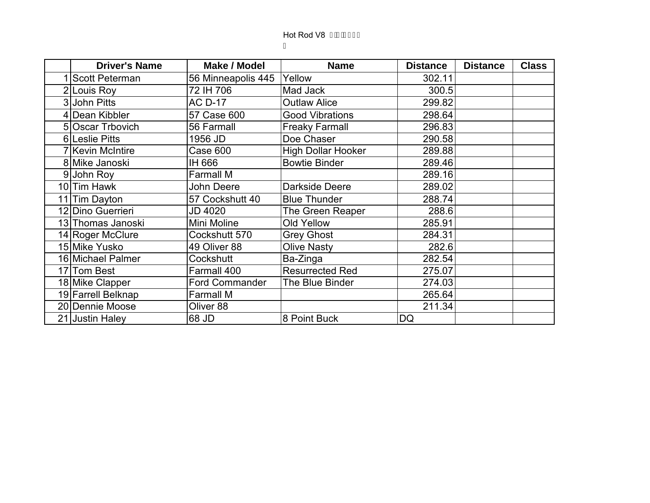| <b>Driver's Name</b> | Make / Model       | <b>Name</b>               | <b>Distance</b> | <b>Distance</b> | <b>Class</b> |
|----------------------|--------------------|---------------------------|-----------------|-----------------|--------------|
| 1 Scott Peterman     | 56 Minneapolis 445 | Yellow                    | 302.11          |                 |              |
| 2 Louis Roy          | 72 IH 706          | Mad Jack                  | 300.5           |                 |              |
| 3 John Pitts         | <b>AC D-17</b>     | <b>Outlaw Alice</b>       | 299.82          |                 |              |
| 4 Dean Kibbler       | 57 Case 600        | <b>Good Vibrations</b>    | 298.64          |                 |              |
| 5 Oscar Trbovich     | 56 Farmall         | <b>Freaky Farmall</b>     | 296.83          |                 |              |
| 6 Leslie Pitts       | 1956 JD            | Doe Chaser                | 290.58          |                 |              |
| 7 Kevin McIntire     | Case 600           | <b>High Dollar Hooker</b> | 289.88          |                 |              |
| 8 Mike Janoski       | IH 666             | <b>Bowtie Binder</b>      | 289.46          |                 |              |
| 9John Roy            | <b>Farmall M</b>   |                           | 289.16          |                 |              |
| 10 Tim Hawk          | John Deere         | Darkside Deere            | 289.02          |                 |              |
| 11 Tim Dayton        | 57 Cockshutt 40    | <b>Blue Thunder</b>       | 288.74          |                 |              |
| 12 Dino Guerrieri    | <b>JD 4020</b>     | The Green Reaper          | 288.6           |                 |              |
| 13 Thomas Janoski    | Mini Moline        | Old Yellow                | 285.91          |                 |              |
| 14 Roger McClure     | Cockshutt 570      | <b>Grey Ghost</b>         | 284.31          |                 |              |
| 15 Mike Yusko        | 49 Oliver 88       | <b>Olive Nasty</b>        | 282.6           |                 |              |
| 16 Michael Palmer    | Cockshutt          | Ba-Zinga                  | 282.54          |                 |              |
| 17 Tom Best          | Farmall 400        | <b>Resurrected Red</b>    | 275.07          |                 |              |
| 18 Mike Clapper      | Ford Commander     | The Blue Binder           | 274.03          |                 |              |
| 19 Farrell Belknap   | <b>Farmall M</b>   |                           | 265.64          |                 |              |
| 20 Dennie Moose      | Oliver 88          |                           | 211.34          |                 |              |
| 21 Justin Haley      | 68 JD              | 8 Point Buck              | DQ              |                 |              |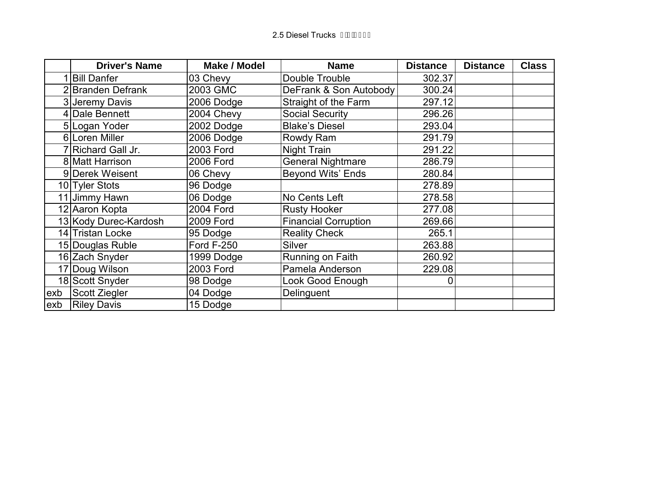|     | <b>Driver's Name</b>  | <b>Make / Model</b> | <b>Name</b>                 | <b>Distance</b> | <b>Distance</b> | <b>Class</b> |
|-----|-----------------------|---------------------|-----------------------------|-----------------|-----------------|--------------|
|     | <b>Bill Danfer</b>    | 03 Chevy            | Double Trouble              | 302.37          |                 |              |
|     | 2 Branden Defrank     | 2003 GMC            | DeFrank & Son Autobody      | 300.24          |                 |              |
|     | 3 Jeremy Davis        | 2006 Dodge          | Straight of the Farm        | 297.12          |                 |              |
|     | 4 Dale Bennett        | 2004 Chevy          | <b>Social Security</b>      | 296.26          |                 |              |
|     | 5 Logan Yoder         | 2002 Dodge          | <b>Blake's Diesel</b>       | 293.04          |                 |              |
|     | 6 Loren Miller        | 2006 Dodge          | Rowdy Ram                   | 291.79          |                 |              |
|     | Richard Gall Jr.      | 2003 Ford           | Night Train                 | 291.22          |                 |              |
|     | 8 Matt Harrison       | 2006 Ford           | <b>General Nightmare</b>    | 286.79          |                 |              |
|     | 9 Derek Weisent       | 06 Chevy            | Beyond Wits' Ends           | 280.84          |                 |              |
|     | 10 Tyler Stots        | 96 Dodge            |                             | 278.89          |                 |              |
|     | 11 Jimmy Hawn         | 06 Dodge            | No Cents Left               | 278.58          |                 |              |
|     | 12 Aaron Kopta        | 2004 Ford           | <b>Rusty Hooker</b>         | 277.08          |                 |              |
|     | 13 Kody Durec-Kardosh | <b>2009 Ford</b>    | <b>Financial Corruption</b> | 269.66          |                 |              |
|     | 14 Tristan Locke      | 95 Dodge            | <b>Reality Check</b>        | 265.1           |                 |              |
|     | 15 Douglas Ruble      | <b>Ford F-250</b>   | Silver                      | 263.88          |                 |              |
|     | 16 Zach Snyder        | 1999 Dodge          | Running on Faith            | 260.92          |                 |              |
|     | 17 Doug Wilson        | 2003 Ford           | Pamela Anderson             | 229.08          |                 |              |
|     | 18 Scott Snyder       | 98 Dodge            | Look Good Enough            | 0               |                 |              |
| exb | Scott Ziegler         | 04 Dodge            | Delinguent                  |                 |                 |              |
| exb | <b>Riley Davis</b>    | 15 Dodge            |                             |                 |                 |              |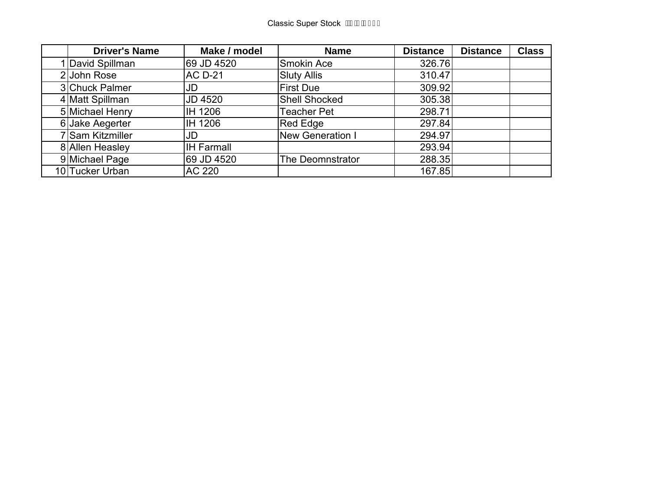| <b>Driver's Name</b> | Make / model      | <b>Name</b>             | <b>Distance</b> | <b>Distance</b> | <b>Class</b> |
|----------------------|-------------------|-------------------------|-----------------|-----------------|--------------|
| David Spillman       | 69 JD 4520        | Smokin Ace              | 326.76          |                 |              |
| 2 John Rose          | <b>AC D-21</b>    | <b>Sluty Allis</b>      | 310.47          |                 |              |
| 3 Chuck Palmer       | JD                | <b>First Due</b>        | 309.92          |                 |              |
| 4 Matt Spillman      | <b>JD 4520</b>    | <b>Shell Shocked</b>    | 305.38          |                 |              |
| 5 Michael Henry      | IH 1206           | <b>Teacher Pet</b>      | 298.71          |                 |              |
| 6 Jake Aegerter      | IH 1206           | Red Edge                | 297.84          |                 |              |
| 7 Sam Kitzmiller     | JD                | <b>New Generation I</b> | 294.97          |                 |              |
| 8 Allen Heasley      | <b>IH Farmall</b> |                         | 293.94          |                 |              |
| 9 Michael Page       | 69 JD 4520        | The Deomnstrator        | 288.35          |                 |              |
| 10 Tucker Urban      | AC 220            |                         | 167.85          |                 |              |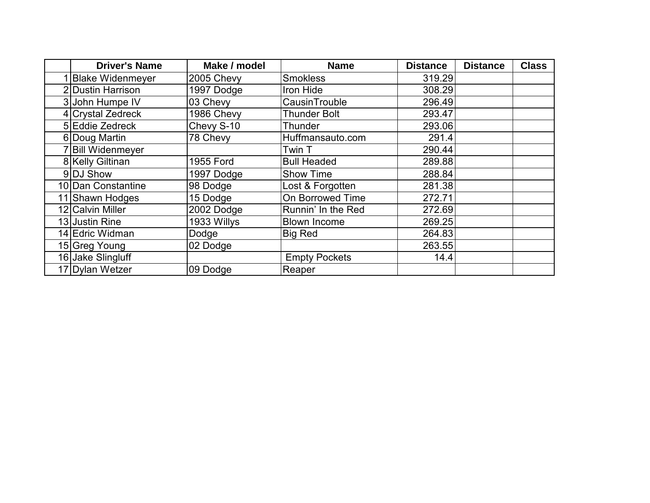| <b>Driver's Name</b>    | Make / model | <b>Name</b>          | <b>Distance</b> | <b>Distance</b> | <b>Class</b> |
|-------------------------|--------------|----------------------|-----------------|-----------------|--------------|
| <b>Blake Widenmeyer</b> | 2005 Chevy   | <b>Smokless</b>      | 319.29          |                 |              |
| 2 Dustin Harrison       | 1997 Dodge   | Iron Hide            | 308.29          |                 |              |
| 3 John Humpe IV         | 03 Chevy     | CausinTrouble        | 296.49          |                 |              |
| 4 Crystal Zedreck       | 1986 Chevy   | <b>Thunder Bolt</b>  | 293.47          |                 |              |
| 5 Eddie Zedreck         | Chevy S-10   | Thunder              | 293.06          |                 |              |
| 6 Doug Martin           | 78 Chevy     | Huffmansauto.com     | 291.4           |                 |              |
| <b>Bill Widenmeyer</b>  |              | Twin T               | 290.44          |                 |              |
| 8 Kelly Giltinan        | 1955 Ford    | <b>Bull Headed</b>   | 289.88          |                 |              |
| 9 DJ Show               | 1997 Dodge   | <b>Show Time</b>     | 288.84          |                 |              |
| 10 Dan Constantine      | 98 Dodge     | Lost & Forgotten     | 281.38          |                 |              |
| 11 Shawn Hodges         | 15 Dodge     | On Borrowed Time     | 272.71          |                 |              |
| 12 Calvin Miller        | 2002 Dodge   | Runnin' In the Red   | 272.69          |                 |              |
| 13 Justin Rine          | 1933 Willys  | <b>Blown Income</b>  | 269.25          |                 |              |
| 14 Edric Widman         | Dodge        | <b>Big Red</b>       | 264.83          |                 |              |
| 15 Greg Young           | 02 Dodge     |                      | 263.55          |                 |              |
| 16 Jake Slingluff       |              | <b>Empty Pockets</b> | 14.4            |                 |              |
| 17 Dylan Wetzer         | 09 Dodge     | Reaper               |                 |                 |              |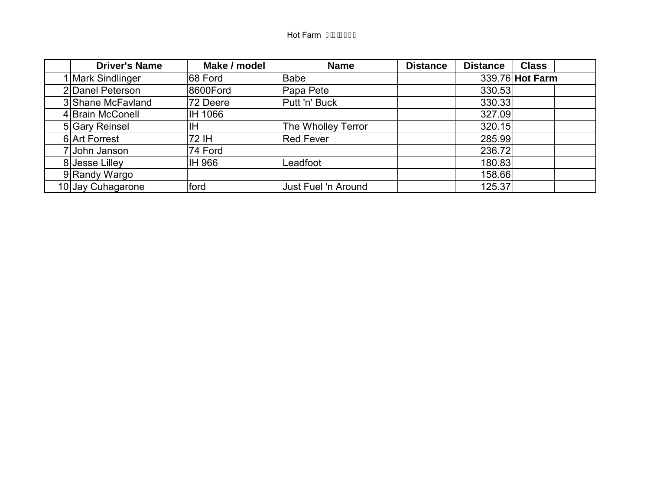## Hot Farm I DEGEFI

| <b>Driver's Name</b> | Make / model | <b>Name</b>         | <b>Distance</b> | <b>Distance</b> | <b>Class</b>    |
|----------------------|--------------|---------------------|-----------------|-----------------|-----------------|
| 1 Mark Sindlinger    | 68 Ford      | Babe                |                 |                 | 339.76 Hot Farm |
| 2 Danel Peterson     | 8600Ford     | Papa Pete           |                 | 330.53          |                 |
| 3 Shane McFavland    | 72 Deere     | Putt 'n' Buck       |                 | 330.33          |                 |
| 4 Brain McConell     | IH 1066      |                     |                 | 327.09          |                 |
| 5 Gary Reinsel       | ΙH           | The Wholley Terror  |                 | 320.15          |                 |
| 6 Art Forrest        | 72 IH        | Red Fever           |                 | 285.99          |                 |
| John Janson          | 74 Ford      |                     |                 | 236.72          |                 |
| 8 Jesse Lilley       | IH 966       | Leadfoot            |                 | 180.83          |                 |
| 9 Randy Wargo        |              |                     |                 | 158.66          |                 |
| 10 Jay Cuhagarone    | ford         | Just Fuel 'n Around |                 | 125.37          |                 |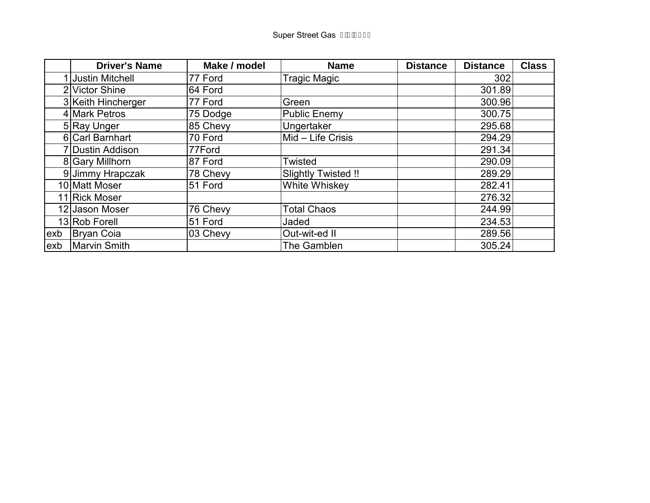|     | <b>Driver's Name</b> | Make / model | <b>Name</b>         | <b>Distance</b> | <b>Distance</b> | <b>Class</b> |
|-----|----------------------|--------------|---------------------|-----------------|-----------------|--------------|
|     | 1 Justin Mitchell    | 77 Ford      | <b>Tragic Magic</b> |                 | 302             |              |
|     | 2 Victor Shine       | 64 Ford      |                     |                 | 301.89          |              |
|     | 3 Keith Hincherger   | 77 Ford      | Green               |                 | 300.96          |              |
|     | 4 Mark Petros        | 75 Dodge     | <b>Public Enemy</b> |                 | 300.75          |              |
|     | 5 Ray Unger          | 85 Chevy     | Ungertaker          |                 | 295.68          |              |
|     | 6 Carl Barnhart      | 70 Ford      | Mid - Life Crisis   |                 | 294.29          |              |
|     | 7 Dustin Addison     | 77Ford       |                     |                 | 291.34          |              |
|     | 8 Gary Millhorn      | 87 Ford      | Twisted             |                 | 290.09          |              |
|     | 9 Jimmy Hrapczak     | 78 Chevy     | Slightly Twisted !! |                 | 289.29          |              |
|     | 10 Matt Moser        | 51 Ford      | White Whiskey       |                 | 282.41          |              |
|     | 11 Rick Moser        |              |                     |                 | 276.32          |              |
|     | 12 Jason Moser       | 76 Chevy     | <b>Total Chaos</b>  |                 | 244.99          |              |
|     | 13 Rob Forell        | 51 Ford      | Jaded               |                 | 234.53          |              |
| exb | <b>Bryan Coia</b>    | 03 Chevy     | Out-wit-ed II       |                 | 289.56          |              |
| exb | <b>Marvin Smith</b>  |              | The Gamblen         |                 | 305.24          |              |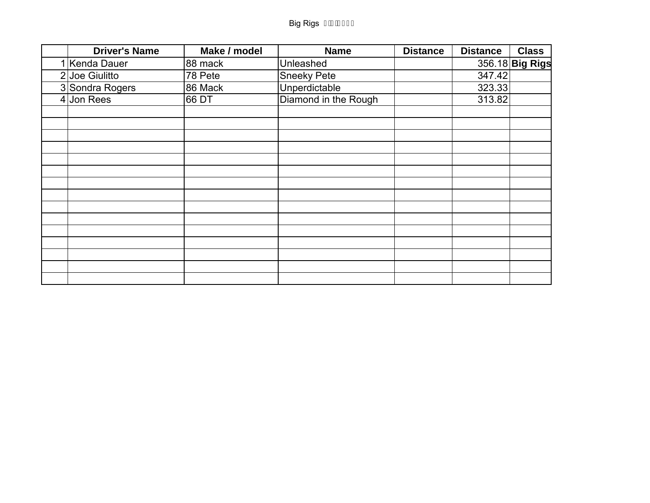| <b>Driver's Name</b> | Make / model | <b>Name</b>          | <b>Distance</b> | <b>Distance</b> | <b>Class</b>    |
|----------------------|--------------|----------------------|-----------------|-----------------|-----------------|
| 1 Kenda Dauer        | 88 mack      | Unleashed            |                 |                 | 356.18 Big Rigs |
| $2$ Joe Giulitto     | 78 Pete      | <b>Sneeky Pete</b>   |                 | 347.42          |                 |
| 3 Sondra Rogers      | 86 Mack      | Unperdictable        |                 | 323.33          |                 |
| $4$ Jon Rees         | 66 DT        | Diamond in the Rough |                 | 313.82          |                 |
|                      |              |                      |                 |                 |                 |
|                      |              |                      |                 |                 |                 |
|                      |              |                      |                 |                 |                 |
|                      |              |                      |                 |                 |                 |
|                      |              |                      |                 |                 |                 |
|                      |              |                      |                 |                 |                 |
|                      |              |                      |                 |                 |                 |
|                      |              |                      |                 |                 |                 |
|                      |              |                      |                 |                 |                 |
|                      |              |                      |                 |                 |                 |
|                      |              |                      |                 |                 |                 |
|                      |              |                      |                 |                 |                 |
|                      |              |                      |                 |                 |                 |
|                      |              |                      |                 |                 |                 |
|                      |              |                      |                 |                 |                 |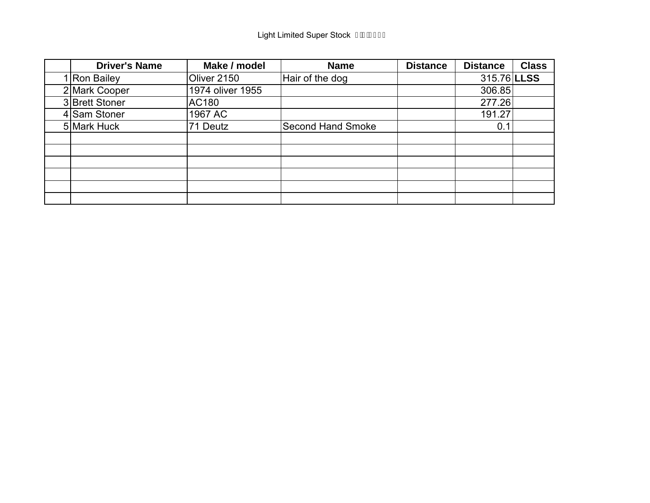| <b>Driver's Name</b> | Make / model     | <b>Name</b>              | <b>Distance</b> | <b>Distance</b> | <b>Class</b> |
|----------------------|------------------|--------------------------|-----------------|-----------------|--------------|
| 1 Ron Bailey         | Oliver 2150      | Hair of the dog          |                 | 315.76 LLSS     |              |
| 2 Mark Cooper        | 1974 oliver 1955 |                          |                 | 306.85          |              |
| 3 Brett Stoner       | <b>AC180</b>     |                          |                 | 277.26          |              |
| 4 Sam Stoner         | 1967 AC          |                          |                 | 191.27          |              |
| 5 Mark Huck          | 71 Deutz         | <b>Second Hand Smoke</b> |                 | 0.1             |              |
|                      |                  |                          |                 |                 |              |
|                      |                  |                          |                 |                 |              |
|                      |                  |                          |                 |                 |              |
|                      |                  |                          |                 |                 |              |
|                      |                  |                          |                 |                 |              |
|                      |                  |                          |                 |                 |              |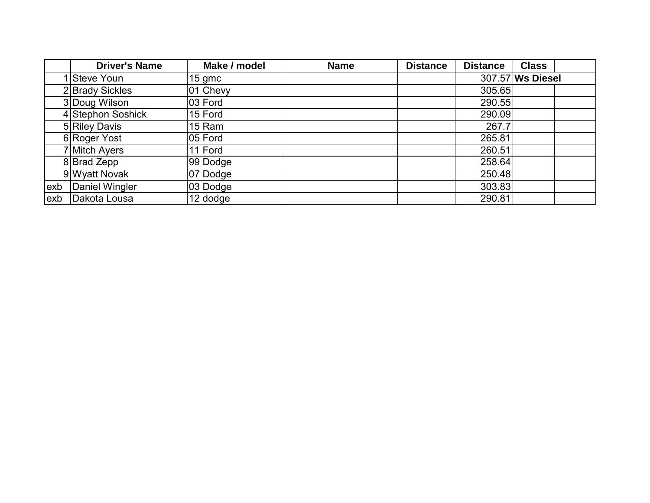|     | <b>Driver's Name</b> | Make / model | <b>Name</b> | <b>Distance</b> | <b>Distance</b> | <b>Class</b>     |
|-----|----------------------|--------------|-------------|-----------------|-----------------|------------------|
|     | Steve Youn           | 15 gmc       |             |                 |                 | 307.57 Ws Diesel |
|     | 2 Brady Sickles      | 01 Chevy     |             |                 | 305.65          |                  |
|     | 3 Doug Wilson        | 03 Ford      |             |                 | 290.55          |                  |
|     | 4 Stephon Soshick    | 15 Ford      |             |                 | 290.09          |                  |
|     | 5 Riley Davis        | 15 Ram       |             |                 | 267.7           |                  |
|     | 6 Roger Yost         | 05 Ford      |             |                 | 265.81          |                  |
|     | 7 Mitch Ayers        | 11 Ford      |             |                 | 260.51          |                  |
|     | 8 Brad Zepp          | 99 Dodge     |             |                 | 258.64          |                  |
|     | 9 Wyatt Novak        | 07 Dodge     |             |                 | 250.48          |                  |
| exb | Daniel Wingler       | 03 Dodge     |             |                 | 303.83          |                  |
| exb | Dakota Lousa         | 12 dodge     |             |                 | 290.81          |                  |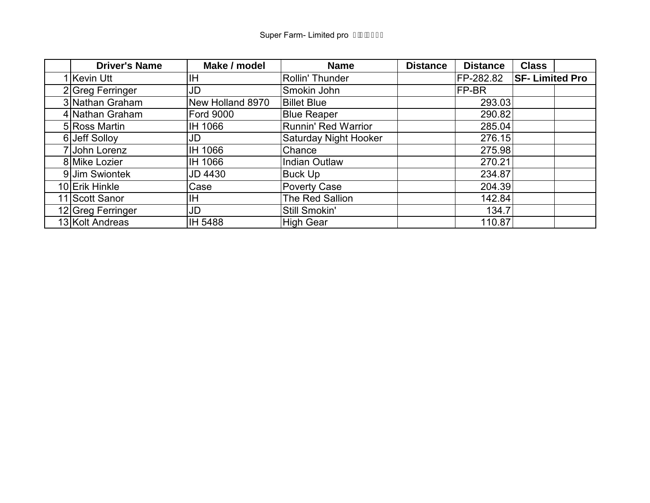| <b>Driver's Name</b> | Make / model     | <b>Name</b>           | <b>Distance</b> | <b>Distance</b> | <b>Class</b>          |  |
|----------------------|------------------|-----------------------|-----------------|-----------------|-----------------------|--|
| Kevin Utt            | ΙH               | Rollin' Thunder       |                 | FP-282.82       | <b>SF-Limited Pro</b> |  |
| 2 Greg Ferringer     | JD               | Smokin John           |                 | FP-BR           |                       |  |
| 3 Nathan Graham      | New Holland 8970 | <b>Billet Blue</b>    |                 | 293.03          |                       |  |
| 4 Nathan Graham      | <b>Ford 9000</b> | <b>Blue Reaper</b>    |                 | 290.82          |                       |  |
| 5 Ross Martin        | IH 1066          | Runnin' Red Warrior   |                 | 285.04          |                       |  |
| 6 Jeff Solloy        | JD               | Saturday Night Hooker |                 | 276.15          |                       |  |
| 7 John Lorenz        | IH 1066          | Chance                |                 | 275.98          |                       |  |
| 8 Mike Lozier        | IH 1066          | <b>Indian Outlaw</b>  |                 | 270.21          |                       |  |
| 9 Jim Swiontek       | <b>JD 4430</b>   | Buck Up               |                 | 234.87          |                       |  |
| 10 Erik Hinkle       | Case             | Poverty Case          |                 | 204.39          |                       |  |
| 11 Scott Sanor       | ΙH               | The Red Sallion       |                 | 142.84          |                       |  |
| 12 Greg Ferringer    | JD               | Still Smokin'         |                 | 134.7           |                       |  |
| 13 Kolt Andreas      | IH 5488          | <b>High Gear</b>      |                 | 110.87          |                       |  |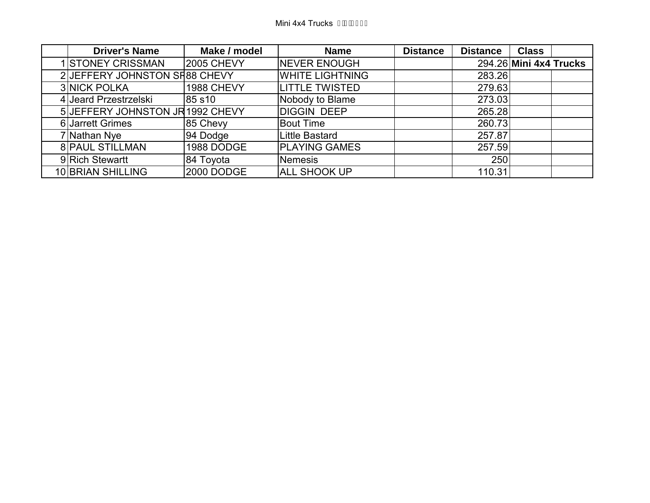| <b>Driver's Name</b>            | Make / model      | <b>Name</b>            | <b>Distance</b> | <b>Distance</b> | <b>Class</b>           |  |
|---------------------------------|-------------------|------------------------|-----------------|-----------------|------------------------|--|
| 1 STONEY CRISSMAN               | <b>2005 CHEVY</b> | <b>NEVER ENOUGH</b>    |                 |                 | 294.26 Mini 4x4 Trucks |  |
| 2 JEFFERY JOHNSTON SR88 CHEVY   |                   | <b>WHITE LIGHTNING</b> |                 | 283.26          |                        |  |
| <b>3 NICK POLKA</b>             | 1988 CHEVY        | <b>LITTLE TWISTED</b>  |                 | 279.63          |                        |  |
| 4 Jeard Przestrzelski           | 85 s10            | Nobody to Blame        |                 | 273.03          |                        |  |
| 5 JEFFERY JOHNSTON JR1992 CHEVY |                   | <b>DIGGIN DEEP</b>     |                 | 265.28          |                        |  |
| 6 Jarrett Grimes                | 85 Chevy          | <b>Bout Time</b>       |                 | 260.73          |                        |  |
| 7 Nathan Nye                    | 94 Dodge          | Little Bastard         |                 | 257.87          |                        |  |
| <b>8 PAUL STILLMAN</b>          | 1988 DODGE        | <b>PLAYING GAMES</b>   |                 | 257.59          |                        |  |
| 9 Rich Stewartt                 | 84 Toyota         | Nemesis                |                 | 250             |                        |  |
| 10 BRIAN SHILLING               | 2000 DODGE        | <b>ALL SHOOK UP</b>    |                 | 110.31          |                        |  |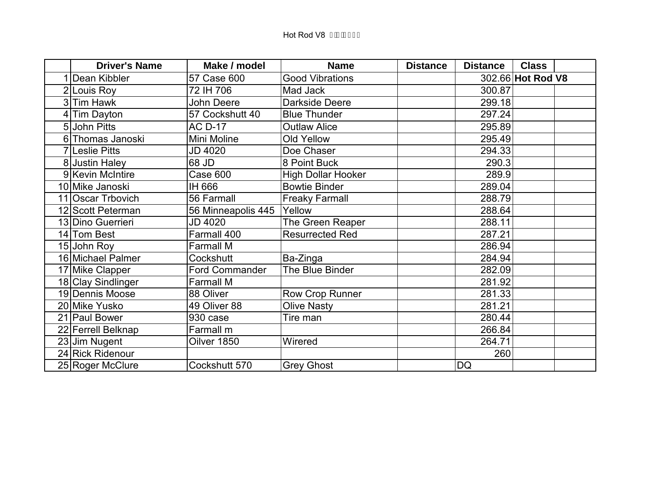| <b>Driver's Name</b> | Make / model          | <b>Name</b>               | <b>Distance</b> | <b>Distance</b> | <b>Class</b>      |  |
|----------------------|-----------------------|---------------------------|-----------------|-----------------|-------------------|--|
| Dean Kibbler         | 57 Case 600           | <b>Good Vibrations</b>    |                 |                 | 302.66 Hot Rod V8 |  |
| 2 Louis Roy          | 72 IH 706             | Mad Jack                  |                 | 300.87          |                   |  |
| 3 Tim Hawk           | John Deere            | Darkside Deere            |                 | 299.18          |                   |  |
| Tim Dayton           | 57 Cockshutt 40       | <b>Blue Thunder</b>       |                 | 297.24          |                   |  |
| 5 John Pitts         | <b>AC D-17</b>        | <b>Outlaw Alice</b>       |                 | 295.89          |                   |  |
| 6 Thomas Janoski     | Mini Moline           | Old Yellow                |                 | 295.49          |                   |  |
| 7 Leslie Pitts       | JD 4020               | Doe Chaser                |                 | 294.33          |                   |  |
| 8 Justin Haley       | 68 JD                 | 8 Point Buck              |                 | 290.3           |                   |  |
| 9 Kevin McIntire     | Case 600              | <b>High Dollar Hooker</b> |                 | 289.9           |                   |  |
| 10 Mike Janoski      | IH 666                | <b>Bowtie Binder</b>      |                 | 289.04          |                   |  |
| 11 Oscar Trbovich    | 56 Farmall            | <b>Freaky Farmall</b>     |                 | 288.79          |                   |  |
| 12 Scott Peterman    | 56 Minneapolis 445    | Yellow                    |                 | 288.64          |                   |  |
| 13 Dino Guerrieri    | JD 4020               | The Green Reaper          |                 | 288.11          |                   |  |
| 14 Tom Best          | Farmall 400           | <b>Resurrected Red</b>    |                 | 287.21          |                   |  |
| 15 John Roy          | <b>Farmall M</b>      |                           |                 | 286.94          |                   |  |
| 16 Michael Palmer    | Cockshutt             | Ba-Zinga                  |                 | 284.94          |                   |  |
| 17 Mike Clapper      | <b>Ford Commander</b> | The Blue Binder           |                 | 282.09          |                   |  |
| 18 Clay Sindlinger   | Farmall M             |                           |                 | 281.92          |                   |  |
| 19 Dennis Moose      | 88 Oliver             | Row Crop Runner           |                 | 281.33          |                   |  |
| 20 Mike Yusko        | 49 Oliver 88          | <b>Olive Nasty</b>        |                 | 281.21          |                   |  |
| 21 Paul Bower        | 930 case              | Tire man                  |                 | 280.44          |                   |  |
| 22 Ferrell Belknap   | Farmall m             |                           |                 | 266.84          |                   |  |
| 23 Jim Nugent        | Oilver 1850           | Wirered                   |                 | 264.71          |                   |  |
| 24 Rick Ridenour     |                       |                           |                 | 260             |                   |  |
| 25 Roger McClure     | Cockshutt 570         | <b>Grey Ghost</b>         |                 | <b>DQ</b>       |                   |  |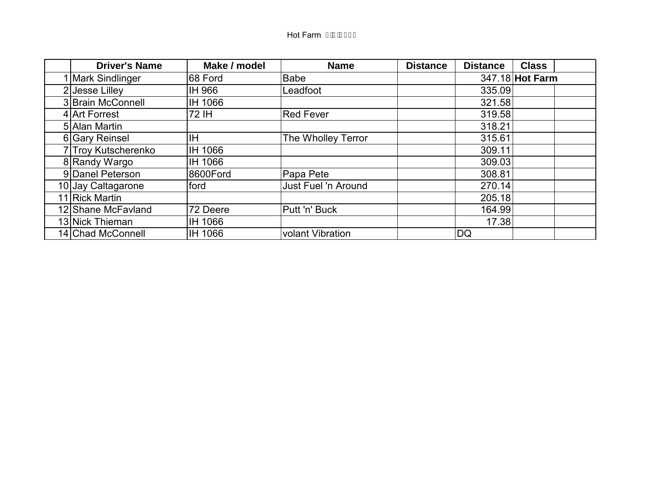| <b>Driver's Name</b> | Make / model | <b>Name</b>             | <b>Distance</b> | <b>Distance</b> | <b>Class</b>    |
|----------------------|--------------|-------------------------|-----------------|-----------------|-----------------|
| 1 Mark Sindlinger    | 68 Ford      | <b>Babe</b>             |                 |                 | 347.18 Hot Farm |
| 2 Jesse Lilley       | IH 966       | Leadfoot                |                 | 335.09          |                 |
| 3 Brain McConnell    | IH 1066      |                         |                 | 321.58          |                 |
| 4 Art Forrest        | 72 IH        | Red Fever               |                 | 319.58          |                 |
| 5 Alan Martin        |              |                         |                 | 318.21          |                 |
| 6 Gary Reinsel       | ΙH           | The Wholley Terror      |                 | 315.61          |                 |
| 7 Troy Kutscherenko  | IH 1066      |                         |                 | 309.11          |                 |
| 8 Randy Wargo        | IH 1066      |                         |                 | 309.03          |                 |
| 9 Danel Peterson     | 8600Ford     | Papa Pete               |                 | 308.81          |                 |
| 10 Jay Caltagarone   | ford         | Just Fuel 'n Around     |                 | 270.14          |                 |
| 11 Rick Martin       |              |                         |                 | 205.18          |                 |
| 12 Shane McFavland   | 72 Deere     | Putt 'n' Buck           |                 | 164.99          |                 |
| 13 Nick Thieman      | IH 1066      |                         |                 | 17.38           |                 |
| 14 Chad McConnell    | IH 1066      | <b>volant Vibration</b> |                 | DQ              |                 |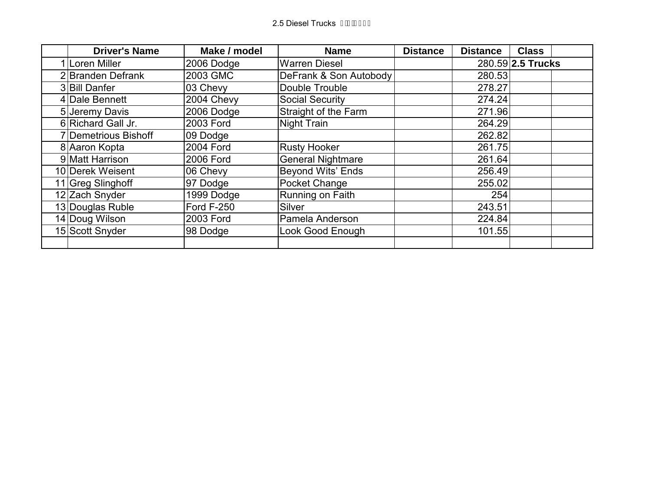| <b>Driver's Name</b> | Make / model      | <b>Name</b>              | <b>Distance</b> | <b>Distance</b> | <b>Class</b>      |
|----------------------|-------------------|--------------------------|-----------------|-----------------|-------------------|
| 1 Loren Miller       | 2006 Dodge        | <b>Warren Diesel</b>     |                 |                 | 280.59 2.5 Trucks |
| 2 Branden Defrank    | 2003 GMC          | DeFrank & Son Autobody   |                 | 280.53          |                   |
| 3 Bill Danfer        | 03 Chevy          | Double Trouble           |                 | 278.27          |                   |
| 4 Dale Bennett       | 2004 Chevy        | <b>Social Security</b>   |                 | 274.24          |                   |
| 5 Jeremy Davis       | 2006 Dodge        | Straight of the Farm     |                 | 271.96          |                   |
| 6 Richard Gall Jr.   | 2003 Ford         | Night Train              |                 | 264.29          |                   |
| 7 Demetrious Bishoff | 09 Dodge          |                          |                 | 262.82          |                   |
| 8 Aaron Kopta        | <b>2004 Ford</b>  | <b>Rusty Hooker</b>      |                 | 261.75          |                   |
| 9 Matt Harrison      | 2006 Ford         | <b>General Nightmare</b> |                 | 261.64          |                   |
| 10 Derek Weisent     | 06 Chevy          | <b>Beyond Wits' Ends</b> |                 | 256.49          |                   |
| 11 Greg Slinghoff    | 97 Dodge          | Pocket Change            |                 | 255.02          |                   |
| 12 Zach Snyder       | 1999 Dodge        | Running on Faith         |                 | 254             |                   |
| 13 Douglas Ruble     | <b>Ford F-250</b> | <b>Silver</b>            |                 | 243.51          |                   |
| 14 Doug Wilson       | 2003 Ford         | Pamela Anderson          |                 | 224.84          |                   |
| 15 Scott Snyder      | 98 Dodge          | Look Good Enough         |                 | 101.55          |                   |
|                      |                   |                          |                 |                 |                   |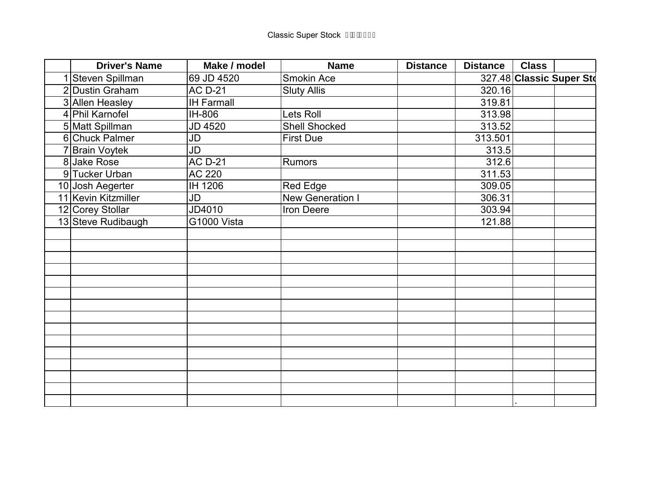|   | <b>Driver's Name</b> | Make / model      | <b>Name</b>             | <b>Distance</b> | <b>Distance</b> | <b>Class</b> |                          |
|---|----------------------|-------------------|-------------------------|-----------------|-----------------|--------------|--------------------------|
|   | Steven Spillman      | 69 JD 4520        | <b>Smokin Ace</b>       |                 |                 |              | 327.48 Classic Super Std |
|   | 2 Dustin Graham      | <b>AC D-21</b>    | <b>Sluty Allis</b>      |                 | 320.16          |              |                          |
|   | 3 Allen Heasley      | <b>IH Farmall</b> |                         |                 | 319.81          |              |                          |
|   | 4 Phil Karnofel      | IH-806            | Lets Roll               |                 | 313.98          |              |                          |
|   | 5 Matt Spillman      | JD 4520           | <b>Shell Shocked</b>    |                 | 313.52          |              |                          |
|   | 6 Chuck Palmer       | JD                | <b>First Due</b>        |                 | 313.501         |              |                          |
| 7 | <b>Brain Voytek</b>  | JD                |                         |                 | 313.5           |              |                          |
|   | 8 Jake Rose          | <b>AC D-21</b>    | Rumors                  |                 | 312.6           |              |                          |
|   | 9 Tucker Urban       | <b>AC 220</b>     |                         |                 | 311.53          |              |                          |
|   | 10 Josh Aegerter     | IH 1206           | Red Edge                |                 | 309.05          |              |                          |
|   | 11 Kevin Kitzmiller  | JD                | <b>New Generation I</b> |                 | 306.31          |              |                          |
|   | 12 Corey Stollar     | JD4010            | Iron Deere              |                 | 303.94          |              |                          |
|   | 13 Steve Rudibaugh   | G1000 Vista       |                         |                 | 121.88          |              |                          |
|   |                      |                   |                         |                 |                 |              |                          |
|   |                      |                   |                         |                 |                 |              |                          |
|   |                      |                   |                         |                 |                 |              |                          |
|   |                      |                   |                         |                 |                 |              |                          |
|   |                      |                   |                         |                 |                 |              |                          |
|   |                      |                   |                         |                 |                 |              |                          |
|   |                      |                   |                         |                 |                 |              |                          |
|   |                      |                   |                         |                 |                 |              |                          |
|   |                      |                   |                         |                 |                 |              |                          |
|   |                      |                   |                         |                 |                 |              |                          |
|   |                      |                   |                         |                 |                 |              |                          |
|   |                      |                   |                         |                 |                 |              |                          |
|   |                      |                   |                         |                 |                 |              |                          |
|   |                      |                   |                         |                 |                 |              |                          |
|   |                      |                   |                         |                 |                 |              |                          |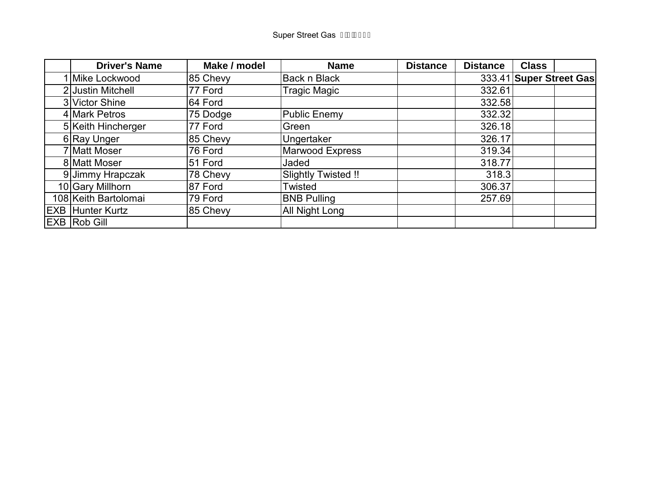| <b>Driver's Name</b>    | Make / model | <b>Name</b>         | <b>Distance</b> | <b>Distance</b> | <b>Class</b>            |
|-------------------------|--------------|---------------------|-----------------|-----------------|-------------------------|
| Mike Lockwood           | 85 Chevy     | <b>Back n Black</b> |                 |                 | 333.41 Super Street Gas |
| 2 Justin Mitchell       | 77 Ford      | Tragic Magic        |                 | 332.61          |                         |
| 3 Victor Shine          | 64 Ford      |                     |                 | 332.58          |                         |
| 4 Mark Petros           | 75 Dodge     | <b>Public Enemy</b> |                 | 332.32          |                         |
| 5 Keith Hincherger      | 77 Ford      | Green               |                 | 326.18          |                         |
| 6 Ray Unger             | 85 Chevy     | Ungertaker          |                 | 326.17          |                         |
| 7 Matt Moser            | 76 Ford      | Marwood Express     |                 | 319.34          |                         |
| 8 Matt Moser            | 51 Ford      | Jaded               |                 | 318.77          |                         |
| 9 Jimmy Hrapczak        | 78 Chevy     | Slightly Twisted !! |                 | 318.3           |                         |
| 10 Gary Millhorn        | 87 Ford      | Twisted             |                 | 306.37          |                         |
| 108 Keith Bartolomai    | 79 Ford      | <b>BNB Pulling</b>  |                 | 257.69          |                         |
| <b>EXB Hunter Kurtz</b> | 85 Chevy     | All Night Long      |                 |                 |                         |
| EXB Rob Gill            |              |                     |                 |                 |                         |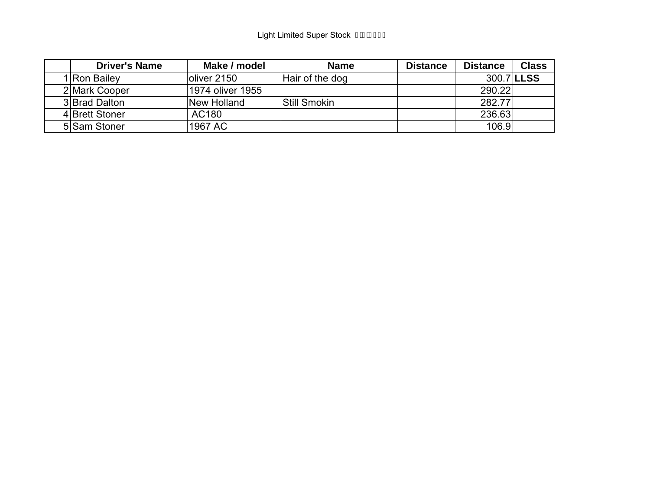| <b>Driver's Name</b> | Make / model     | <b>Name</b>         | <b>Distance</b> | <b>Distance</b> | <b>Class</b> |
|----------------------|------------------|---------------------|-----------------|-----------------|--------------|
| I Ron Bailey         | oliver 2150      | Hair of the dog     |                 |                 | 300.7 LLSS   |
| 2 Mark Cooper        | 1974 oliver 1955 |                     |                 | 290.22          |              |
| 3 Brad Dalton        | New Holland      | <b>Still Smokin</b> |                 | 282.77          |              |
| 4 Brett Stoner       | AC180            |                     |                 | 236.63          |              |
| 5 Sam Stoner         | 1967 AC          |                     |                 | 106.9           |              |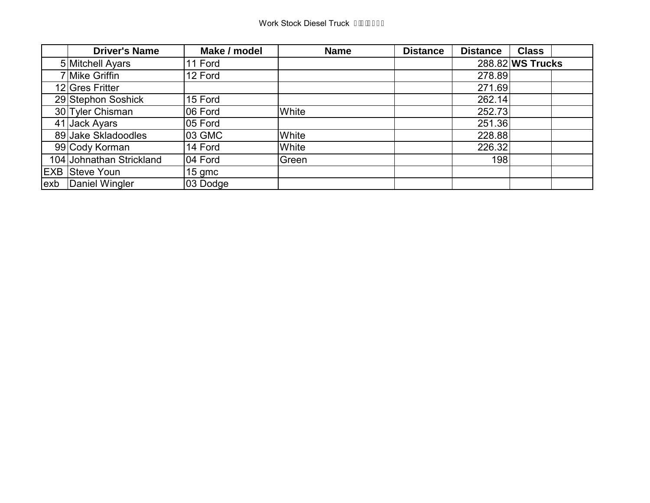|     | <b>Driver's Name</b>     | Make / model | <b>Name</b> | <b>Distance</b> | <b>Distance</b> | <b>Class</b>     |
|-----|--------------------------|--------------|-------------|-----------------|-----------------|------------------|
|     | 5 Mitchell Ayars         | 11 Ford      |             |                 |                 | 288.82 WS Trucks |
|     | 7 Mike Griffin           | 12 Ford      |             |                 | 278.89          |                  |
|     | 12 Gres Fritter          |              |             |                 | 271.69          |                  |
|     | 29 Stephon Soshick       | 15 Ford      |             |                 | 262.14          |                  |
|     | 30 Tyler Chisman         | 06 Ford      | White       |                 | 252.73          |                  |
|     | 41 Jack Ayars            | 05 Ford      |             |                 | 251.36          |                  |
|     | 89 Jake Skladoodles      | 03 GMC       | White       |                 | 228.88          |                  |
|     | 99 Cody Korman           | 14 Ford      | White       |                 | 226.32          |                  |
|     | 104 Johnathan Strickland | 04 Ford      | Green       |                 | 198             |                  |
|     | <b>EXB Steve Youn</b>    | 15 gmc       |             |                 |                 |                  |
| exb | Daniel Wingler           | 03 Dodge     |             |                 |                 |                  |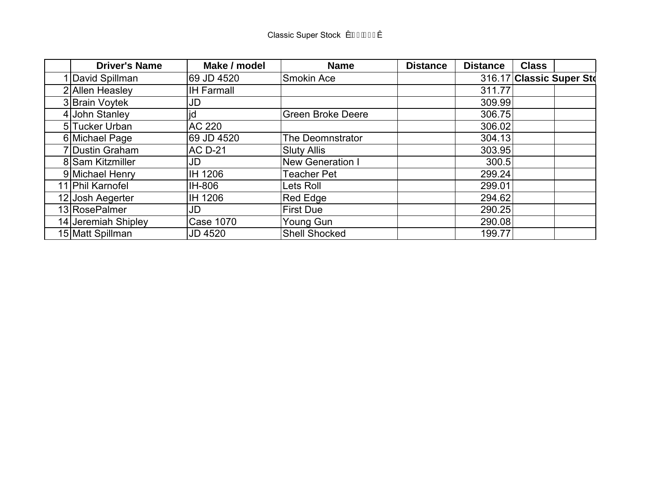| <b>Driver's Name</b> | Make / model      | <b>Name</b>             | <b>Distance</b> | <b>Distance</b> | <b>Class</b> |                          |
|----------------------|-------------------|-------------------------|-----------------|-----------------|--------------|--------------------------|
| 1 David Spillman     | 69 JD 4520        | Smokin Ace              |                 |                 |              | 316.17 Classic Super Std |
| 2 Allen Heasley      | <b>IH Farmall</b> |                         |                 | 311.77          |              |                          |
| 3 Brain Voytek       | JD                |                         |                 | 309.99          |              |                          |
| 4 John Stanley       | jd                | Green Broke Deere       |                 | 306.75          |              |                          |
| 5 Tucker Urban       | AC 220            |                         |                 | 306.02          |              |                          |
| 6 Michael Page       | 69 JD 4520        | The Deomnstrator        |                 | 304.13          |              |                          |
| 7 Dustin Graham      | <b>AC D-21</b>    | <b>Sluty Allis</b>      |                 | 303.95          |              |                          |
| 8 Sam Kitzmiller     | JD                | <b>New Generation I</b> |                 | 300.5           |              |                          |
| 9 Michael Henry      | IH 1206           | <b>Teacher Pet</b>      |                 | 299.24          |              |                          |
| 11 Phil Karnofel     | IH-806            | Lets Roll               |                 | 299.01          |              |                          |
| 12 Josh Aegerter     | IH 1206           | Red Edge                |                 | 294.62          |              |                          |
| 13 RosePalmer        | JD                | <b>First Due</b>        |                 | 290.25          |              |                          |
| 14 Jeremiah Shipley  | <b>Case 1070</b>  | Young Gun               |                 | 290.08          |              |                          |
| 15 Matt Spillman     | <b>JD 4520</b>    | <b>Shell Shocked</b>    |                 | 199.77          |              |                          |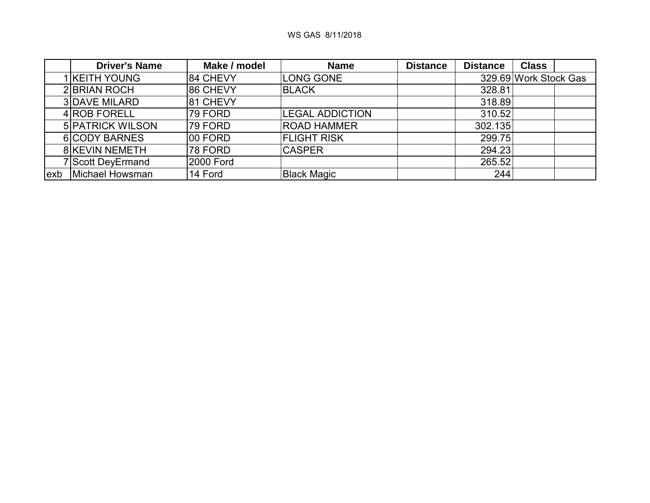|     | <b>Driver's Name</b>    | Make / model | <b>Name</b>            | <b>Distance</b> | <b>Distance</b> | <b>Class</b>          |
|-----|-------------------------|--------------|------------------------|-----------------|-----------------|-----------------------|
|     | I KEITH YOUNG           | 84 CHEVY     | LONG GONE              |                 |                 | 329.69 Work Stock Gas |
|     | 2 BRIAN ROCH            | 86 CHEVY     | <b>BLACK</b>           |                 | 328.81          |                       |
|     | <b>3DAVE MILARD</b>     | 81 CHEVY     |                        |                 | 318.89          |                       |
|     | 4 ROB FORELL            | 79 FORD      | <b>LEGAL ADDICTION</b> |                 | 310.52          |                       |
|     | <b>5 PATRICK WILSON</b> | 79 FORD      | <b>ROAD HAMMER</b>     |                 | 302.135         |                       |
|     | 6 CODY BARNES           | 00 FORD      | <b>FLIGHT RISK</b>     |                 | 299.75          |                       |
|     | <b>8 KEVIN NEMETH</b>   | 78 FORD      | <b>CASPER</b>          |                 | 294.23          |                       |
|     | Scott DeyErmand         | 2000 Ford    |                        |                 | 265.52          |                       |
| exb | Michael Howsman         | 14 Ford      | <b>Black Magic</b>     |                 | 244             |                       |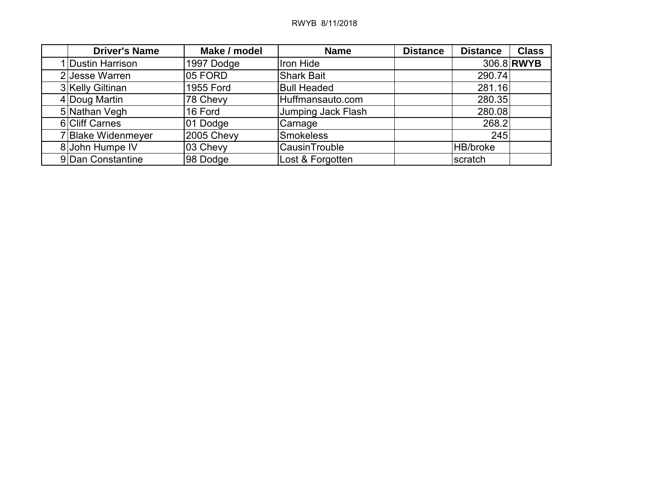| <b>Driver's Name</b> | Make / model | <b>Name</b>        | <b>Distance</b> | <b>Distance</b> | <b>Class</b> |
|----------------------|--------------|--------------------|-----------------|-----------------|--------------|
| 1 Dustin Harrison    | 1997 Dodge   | Iron Hide          |                 |                 | 306.8 RWYB   |
| 2 Jesse Warren       | 05 FORD      | <b>Shark Bait</b>  |                 | 290.74          |              |
| 3 Kelly Giltinan     | 1955 Ford    | <b>Bull Headed</b> |                 | 281.16          |              |
| 4 Doug Martin        | 78 Chevy     | Huffmansauto.com   |                 | 280.35          |              |
| 5 Nathan Vegh        | 16 Ford      | Jumping Jack Flash |                 | 280.08          |              |
| 6 Cliff Carnes       | 01 Dodge     | Carnage            |                 | 268.2           |              |
| 7 Blake Widenmeyer   | 2005 Chevy   | Smokeless          |                 | 245             |              |
| 8 John Humpe IV      | 03 Chevy     | CausinTrouble      |                 | <b>HB/broke</b> |              |
| 9 Dan Constantine    | 98 Dodge     | Lost & Forgotten   |                 | scratch         |              |